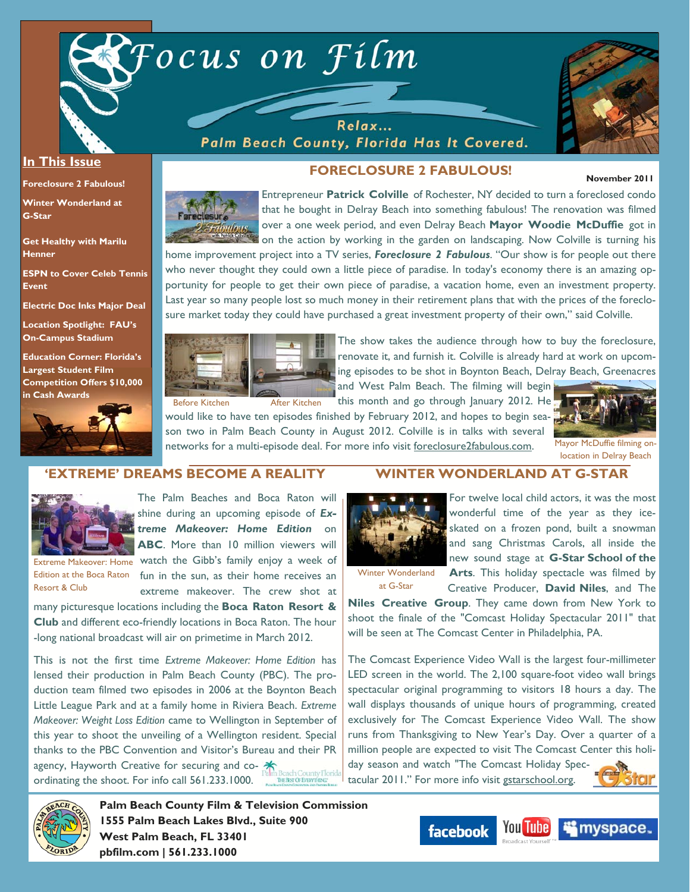

Relax... Palm Beach County, Florida Has It Covered.



#### **In This Issue**

**Foreclosure 2 Fabulous!** 

**Winter Wonderland at G-Star** 

**Get Healthy with Marilu Henner** 

**ESPN to Cover Celeb Tennis Event** 

**Electric Doc Inks Major Deal** 

**Location Spotlight: FAU's On-Campus Stadium** 

**Education Corner: Florida's Largest Student Film Competition Offers \$10,000 in Cash Awards**



#### **FORECLOSURE 2 FABULOUS!**

#### **November 2011**



Entrepreneur **Patrick Colville** of Rochester, NY decided to turn a foreclosed condo that he bought in Delray Beach into something fabulous! The renovation was filmed over a one week period, and even Delray Beach **Mayor Woodie McDuffie** got in on the action by working in the garden on landscaping. Now Colville is turning his

home improvement project into a TV series, *Foreclosure 2 Fabulous*. "Our show is for people out there who never thought they could own a little piece of paradise. In today's economy there is an amazing opportunity for people to get their own piece of paradise, a vacation home, even an investment property. Last year so many people lost so much money in their retirement plans that with the prices of the foreclosure market today they could have purchased a great investment property of their own," said Colville.



The show takes the audience through how to buy the foreclosure, renovate it, and furnish it. Colville is already hard at work on upcoming episodes to be shot in Boynton Beach, Delray Beach, Greenacres

**WINTER WONDERLAND AT G-STAR** 

and West Palm Beach. The filming will begin this month and go through January 2012. He

would like to have ten episodes finished by February 2012, and hopes to begin season two in Palm Beach County in August 2012. Colville is in talks with several networks for a multi-episode deal. For more info visit foreclosure2fabulous.com.



Mayor McDuffie filming onlocation in Delray Beach

#### **'EXTREME' DREAMS BECOME A REALITY**



The Palm Beaches and Boca Raton will shine during an upcoming episode of *Extreme Makeover: Home Edition* on **ABC**. More than 10 million viewers will

Resort & Club

Extreme Makeover: Home watch the Gibb's family enjoy a week of Edition at the Boca Raton fun in the sun, as their home receives an extreme makeover. The crew shot at many picturesque locations including the **Boca Raton Resort &** 

**Club** and different eco-friendly locations in Boca Raton. The hour -long national broadcast will air on primetime in March 2012.

This is not the first time *Extreme Makeover: Home Edition* has lensed their production in Palm Beach County (PBC). The production team filmed two episodes in 2006 at the Boynton Beach Little League Park and at a family home in Riviera Beach. *Extreme Makeover: Weight Loss Edition* came to Wellington in September of this year to shoot the unveiling of a Wellington resident. Special thanks to the PBC Convention and Visitor's Bureau and their PR agency, Hayworth Creative for securing and coordinating the shoot. For info call 561.233.1000.

For twelve local child actors, it was the most

wonderful time of the year as they iceskated on a frozen pond, built a snowman and sang Christmas Carols, all inside the new sound stage at **G-Star School of the** 

Winter Wonderland at G-Star

**Arts**. This holiday spectacle was filmed by Creative Producer, **David Niles**, and The

**Niles Creative Group**. They came down from New York to shoot the finale of the "Comcast Holiday Spectacular 2011" that will be seen at The Comcast Center in Philadelphia, PA.

The Comcast Experience Video Wall is the largest four-millimeter LED screen in the world. The 2,100 square-foot video wall brings spectacular original programming to visitors 18 hours a day. The wall displays thousands of unique hours of programming, created exclusively for The Comcast Experience Video Wall. The show runs from Thanksgiving to New Year's Day. Over a quarter of a million people are expected to visit The Comcast Center this holiday season and watch "The Comcast Holiday Spectacular 2011." For more info visit gstarschool.org.



**Palm Beach County Film & Television Commission 1555 Palm Beach Lakes Blvd., Suite 900 West Palm Beach, FL 33401 pbfilm.com | 561.233.1000** 

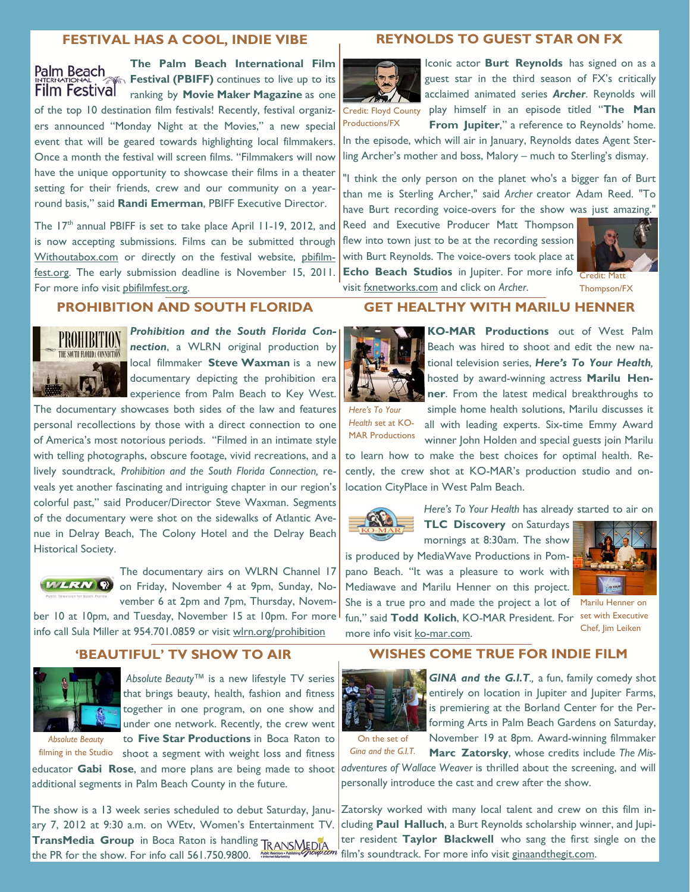#### **FESTIVAL HAS A COOL, INDIE VIBE**

# Palm Beach **Film Festival**

**The Palm Beach International Film Festival (PBIFF)** continues to live up to its ranking by **Movie Maker Magazine** as one of the top 10 destination film festivals! Recently, festival organizers announced "Monday Night at the Movies," a new special event that will be geared towards highlighting local filmmakers. Once a month the festival will screen films. "Filmmakers will now have the unique opportunity to showcase their films in a theater setting for their friends, crew and our community on a yearround basis," said **Randi Emerman**, PBIFF Executive Director.

The 17<sup>th</sup> annual PBIFF is set to take place April 11-19, 2012, and is now accepting submissions. Films can be submitted through Withoutabox.com or directly on the festival website, pbifilmfest.org. The early submission deadline is November 15, 2011. For more info visit pbifilmfest.org.

#### **PROHIBITION AND SOUTH FLORIDA**



*Prohibition and the South Florida Connection*, a WLRN original production by local filmmaker **Steve Waxman** is a new documentary depicting the prohibition era experience from Palm Beach to Key West.

The documentary showcases both sides of the law and features personal recollections by those with a direct connection to one of America's most notorious periods. "Filmed in an intimate style with telling photographs, obscure footage, vivid recreations, and a lively soundtrack, *Prohibition and the South Florida Connection,* reveals yet another fascinating and intriguing chapter in our region's colorful past," said Producer/Director Steve Waxman. Segments of the documentary were shot on the sidewalks of Atlantic Avenue in Delray Beach, The Colony Hotel and the Delray Beach Historical Society.



The documentary airs on WLRN Channel 17 **WLRN**  $\odot$  on Friday, November 4 at 9pm, Sunday, November 6 at 2pm and 7pm, Thursday, Novem-

ber 10 at 10pm, and Tuesday, November 15 at 10pm. For more info call Sula Miller at 954.701.0859 or visit wlrn.org/prohibition

#### **'BEAUTIFUL' TV SHOW TO AIR**



*Absolute Beauty™* is a new lifestyle TV series that brings beauty, health, fashion and fitness together in one program, on one show and under one network. Recently, the crew went to **Five Star Productions** in Boca Raton to

*Absolute Beauty* 

filming in the Studio shoot a segment with weight loss and fitness

additional segments in Palm Beach County in the future.

The show is a 13 week series scheduled to debut Saturday, January 7, 2012 at 9:30 a.m. on WEtv, Women's Entertainment TV. **TransMedia Group** in Boca Raton is handling **TRANSMEDIA** the PR for the show. For info call 561.750.9800.

#### **REYNOLDS TO GUEST STAR ON FX**



Iconic actor **Burt Reynolds** has signed on as a guest star in the third season of FX's critically acclaimed animated series *Archer*. Reynolds will Credit: Floyd County play himself in an episode titled "The Man **From Jupiter,"** a reference to Reynolds' home.

Productions/FX

In the episode, which will air in January, Reynolds dates Agent Sterling Archer's mother and boss, Malory – much to Sterling's dismay.

"I think the only person on the planet who's a bigger fan of Burt than me is Sterling Archer," said *Archer* creator Adam Reed. "To have Burt recording voice-overs for the show was just amazing."

**GET HEALTHY WITH MARILU HENNER** 

Reed and Executive Producer Matt Thompson flew into town just to be at the recording session with Burt Reynolds. The voice-overs took place at **Echo Beach Studios** in Jupiter. For more info visit fxnetworks.com and click on *Archer*.



Thompson/FX



**KO-MAR Productions** out of West Palm Beach was hired to shoot and edit the new national television series, *Here's To Your Health,* hosted by award-winning actress **Marilu Henner**. From the latest medical breakthroughs to

*Here's To Your Health* set at KO-MAR Productions

simple home health solutions, Marilu discusses it all with leading experts. Six-time Emmy Award winner John Holden and special guests join Marilu

to learn how to make the best choices for optimal health. Recently, the crew shot at KO-MAR's production studio and onlocation CityPlace in West Palm Beach.



*Here's To Your Health* has already started to air on

**TLC Discovery** on Saturdays mornings at 8:30am. The show is produced by MediaWave Productions in Pom-

pano Beach. "It was a pleasure to work with Mediawave and Marilu Henner on this project. She is a true pro and made the project a lot of Marilu Henner on

fun," said **Todd Kolich**, KO-MAR President. For set with Executive more info visit ko-mar.com.



Chef, Jim Leiken

#### **WISHES COME TRUE FOR INDIE FILM**



*GINA and the G.I.T.,* a fun, family comedy shot entirely on location in Jupiter and Jupiter Farms, is premiering at the Borland Center for the Performing Arts in Palm Beach Gardens on Saturday, November 19 at 8pm. Award-winning filmmaker

On the set of *Gina and the G.I.T.*

**Marc Zatorsky**, whose credits include *The Mis-*

educator Gabi Rose, and more plans are being made to shoot *adventures of Wallace Weaver* is thrilled about the screening, and will personally introduce the cast and crew after the show.

> Zatorsky worked with many local talent and crew on this film including **Paul Halluch**, a Burt Reynolds scholarship winner, and Jupiter resident **Taylor Blackwell** who sang the first single on the film's soundtrack. For more info visit ginaandthegit.com.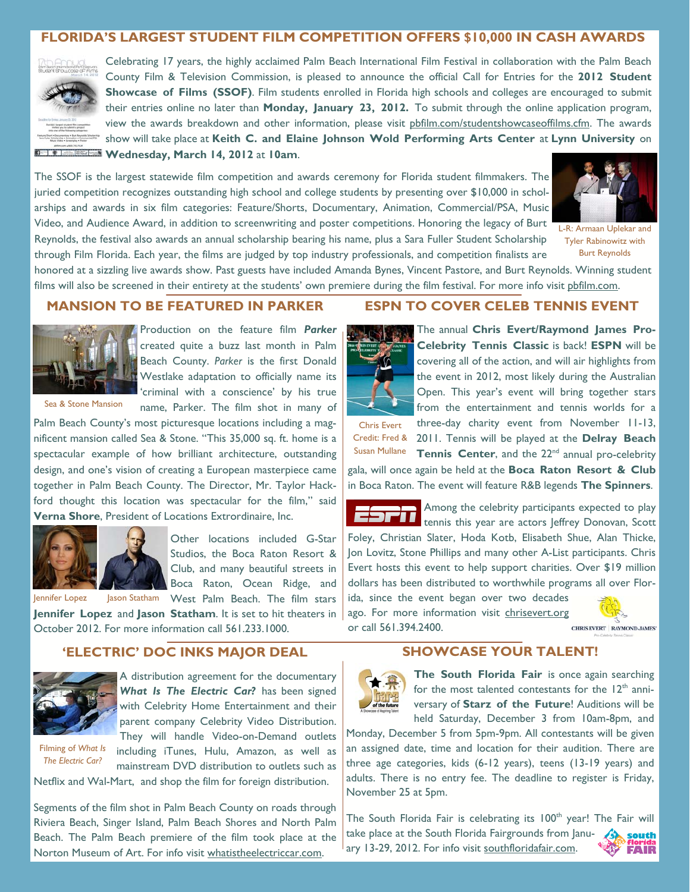# **FLORIDA'S LARGEST STUDENT FILM COMPETITION OFFERS \$10,000 IN CASH AWARDS**



Celebrating 17 years, the highly acclaimed Palm Beach International Film Festival in collaboration with the Palm Beach County Film & Television Commission, is pleased to announce the official Call for Entries for the **2012 Student Showcase of Films (SSOF)**. Film students enrolled in Florida high schools and colleges are encouraged to submit their entries online no later than **Monday, January 23, 2012.** To submit through the online application program, view the awards breakdown and other information, please visit pbfilm.com/studentshowcaseoffilms.cfm. The awards show will take place at **Keith C. and Elaine Johnson Wold Performing Arts Center** at **Lynn University** on **Wednesday, March 14, 2012** at **10am**.

The SSOF is the largest statewide film competition and awards ceremony for Florida student filmmakers. The juried competition recognizes outstanding high school and college students by presenting over \$10,000 in scholarships and awards in six film categories: Feature/Shorts, Documentary, Animation, Commercial/PSA, Music Video, and Audience Award, in addition to screenwriting and poster competitions. Honoring the legacy of Burt Reynolds, the festival also awards an annual scholarship bearing his name, plus a Sara Fuller Student Scholarship through Film Florida. Each year, the films are judged by top industry professionals, and competition finalists are



L-R: Armaan Uplekar and Tyler Rabinowitz with Burt Reynolds

honored at a sizzling live awards show. Past guests have included Amanda Bynes, Vincent Pastore, and Burt Reynolds. Winning student films will also be screened in their entirety at the students' own premiere during the film festival. For more info visit phfilm.com.

### **MANSION TO BE FEATURED IN PARKER**



Production on the feature film *Parker* created quite a buzz last month in Palm Beach County. *Parker* is the first Donald Westlake adaptation to officially name its 'criminal with a conscience' by his true name, Parker. The film shot in many of

Sea & Stone Mansion

Palm Beach County's most picturesque locations including a magnificent mansion called Sea & Stone. "This 35,000 sq. ft. home is a spectacular example of how brilliant architecture, outstanding design, and one's vision of creating a European masterpiece came together in Palm Beach County. The Director, Mr. Taylor Hackford thought this location was spectacular for the film," said **Verna Shore**, President of Locations Extrordinaire, Inc.



Other locations included G-Star Studios, the Boca Raton Resort & Club, and many beautiful streets in Boca Raton, Ocean Ridge, and

Jennifer Lopez Jason Statham West Palm Beach. The film stars

**Jennifer Lopez** and **Jason Statham**. It is set to hit theaters in October 2012. For more information call 561.233.1000.

## **'ELECTRIC' DOC INKS MAJOR DEAL**



A distribution agreement for the documentary *What Is The Electric Car?* has been signed with Celebrity Home Entertainment and their parent company Celebrity Video Distribution. They will handle Video-on-Demand outlets

Filming of *What Is The Electric Car?* 

including iTunes, Hulu, Amazon, as well as mainstream DVD distribution to outlets such as

Netflix and Wal-Mart, and shop the film for foreign distribution.

Segments of the film shot in Palm Beach County on roads through Riviera Beach, Singer Island, Palm Beach Shores and North Palm Beach. The Palm Beach premiere of the film took place at the Norton Museum of Art. For info visit whatistheelectriccar.com.

#### **ESPN TO COVER CELEB TENNIS EVENT**

The annual **Chris Evert/Raymond James Pro-Celebrity Tennis Classic** is back! **ESPN** will be covering all of the action, and will air highlights from the event in 2012, most likely during the Australian Open. This year's event will bring together stars from the entertainment and tennis worlds for a

Chris Evert

three-day charity event from November 11-13, Credit: Fred & 2011. Tennis will be played at the Delray Beach **Tennis Center**, and the 22<sup>nd</sup> annual pro-celebrity Susan Mullane

gala, will once again be held at the **Boca Raton Resort & Club**  in Boca Raton. The event will feature R&B legends **The Spinners**.



Among the celebrity participants expected to play tennis this year are actors Jeffrey Donovan, Scott

Foley, Christian Slater, Hoda Kotb, Elisabeth Shue, Alan Thicke, Jon Lovitz, Stone Phillips and many other A-List participants. Chris Evert hosts this event to help support charities. Over \$19 million dollars has been distributed to worthwhile programs all over Florida, since the event began over two decades ago. For more information visit chrisevert.org

or call 561.394.2400.



**CHRIS EVERT RAYMOND JAMES\*** 

#### **SHOWCASE YOUR TALENT!**



**The South Florida Fair** is once again searching for the most talented contestants for the  $12<sup>th</sup>$  anniversary of **Starz of the Future**! Auditions will be held Saturday, December 3 from 10am-8pm, and

Monday, December 5 from 5pm-9pm. All contestants will be given an assigned date, time and location for their audition. There are three age categories, kids (6-12 years), teens (13-19 years) and adults. There is no entry fee. The deadline to register is Friday, November 25 at 5pm.

The South Florida Fair is celebrating its 100<sup>th</sup> year! The Fair will take place at the South Florida Fairgrounds from Janusouth ary 13-29, 2012. For info visit southfloridafair.com. **FAIR**